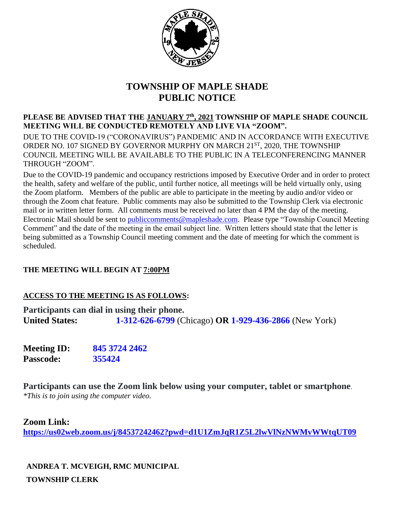

# **TOWNSHIP OF MAPLE SHADE PUBLIC NOTICE**

**PLEASE BE ADVISED THAT THE JANUARY 7th, 2021 TOWNSHIP OF MAPLE SHADE COUNCIL MEETING WILL BE CONDUCTED REMOTELY AND LIVE VIA "ZOOM".**  DUE TO THE COVID-19 ("CORONAVIRUS") PANDEMIC AND IN ACCORDANCE WITH EXECUTIVE ORDER NO. 107 SIGNED BY GOVERNOR MURPHY ON MARCH 21<sup>ST</sup>, 2020, THE TOWNSHIP COUNCIL MEETING WILL BE AVAILABLE TO THE PUBLIC IN A TELECONFERENCING MANNER THROUGH "ZOOM".

Due to the COVID-19 pandemic and occupancy restrictions imposed by Executive Order and in order to protect the health, safety and welfare of the public, until further notice, all meetings will be held virtually only, using the Zoom platform. Members of the public are able to participate in the meeting by audio and/or video or through the Zoom chat feature. Public comments may also be submitted to the Township Clerk via electronic mail or in written letter form. All comments must be received no later than 4 PM the day of the meeting. Electronic Mail should be sent to [publiccomments@mapleshade.com.](mailto:publiccomments@mapleshade.com) Please type "Township Council Meeting Comment" and the date of the meeting in the email subject line. Written letters should state that the letter is being submitted as a Township Council meeting comment and the date of meeting for which the comment is scheduled.

## **THE MEETING WILL BEGIN AT 7:00PM**

### **ACCESS TO THE MEETING IS AS FOLLOWS:**

**Participants can dial in using their phone. United States: 1-312-626-6799** (Chicago) **OR 1-929-436-2866** (New York)

**Meeting ID: 845 3724 2462 Passcode: 355424**

**Participants can use the Zoom link below using your computer, tablet or smartphone**. *\*This is to join using the computer video.*

#### **Zoom Link:**

**<https://us02web.zoom.us/j/84537242462?pwd=d1U1ZmJqR1Z5L2lwVlNzNWMvWWtqUT09>**

**ANDREA T. MCVEIGH, RMC MUNICIPAL TOWNSHIP CLERK**